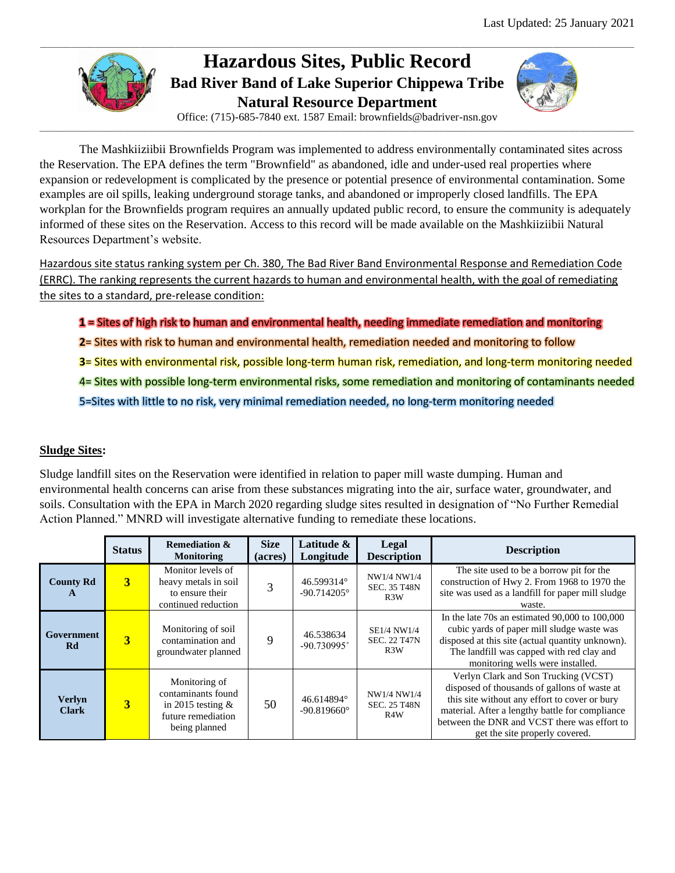

# **Hazardous Sites, Public Record Bad River Band of Lake Superior Chippewa Tribe Natural Resource Department**



Office: (715)-685-7840 ext. 1587 Email: brownfields@badriver-nsn.gov \_\_\_\_\_\_\_\_\_\_\_\_\_\_\_\_\_\_\_\_\_\_\_\_\_\_\_\_\_\_\_\_\_\_\_\_\_\_\_\_\_\_\_\_\_\_\_\_\_\_\_\_\_\_\_\_\_\_\_\_\_\_\_\_\_\_\_\_\_\_\_\_\_\_\_\_\_\_\_\_\_\_\_\_\_\_\_\_\_\_\_\_\_\_\_\_\_\_\_\_\_\_\_\_\_\_\_\_\_\_\_\_\_\_\_\_\_\_\_\_\_\_\_\_\_\_\_\_\_\_\_\_\_\_\_\_\_\_\_\_\_\_\_\_\_\_\_\_\_\_\_\_\_\_

The Mashkiiziibii Brownfields Program was implemented to address environmentally contaminated sites across the Reservation. The EPA defines the term "Brownfield" as abandoned, idle and under-used real properties where expansion or redevelopment is complicated by the presence or potential presence of environmental contamination. Some examples are oil spills, leaking underground storage tanks, and abandoned or improperly closed landfills. The EPA workplan for the Brownfields program requires an annually updated public record, to ensure the community is adequately informed of these sites on the Reservation. Access to this record will be made available on the Mashkiiziibii Natural Resources Department's website.

Hazardous site status ranking system per Ch. 380, The Bad River Band Environmental Response and Remediation Code (ERRC). The ranking represents the current hazards to human and environmental health, with the goal of remediating the sites to a standard, pre-release condition:

**1** = Sites of high risk to human and environmental health, needing immediate remediation and monitoring

- **2**= Sites with risk to human and environmental health, remediation needed and monitoring to follow
- **3**= Sites with environmental risk, possible long-term human risk, remediation, and long-term monitoring needed
- 4= Sites with possible long-term environmental risks, some remediation and monitoring of contaminants needed
- 5=Sites with little to no risk, very minimal remediation needed, no long-term monitoring needed

## **Sludge Sites:**

Sludge landfill sites on the Reservation were identified in relation to paper mill waste dumping. Human and environmental health concerns can arise from these substances migrating into the air, surface water, groundwater, and soils. Consultation with the EPA in March 2020 regarding sludge sites resulted in designation of "No Further Remedial Action Planned." MNRD will investigate alternative funding to remediate these locations.

|                                  | <b>Status</b> | <b>Remediation &amp;</b><br><b>Monitoring</b>                                                     | <b>Size</b><br>(acres) | Latitude &<br>Longitude            | Legal<br><b>Description</b>                            | <b>Description</b>                                                                                                                                                                                                                                                         |
|----------------------------------|---------------|---------------------------------------------------------------------------------------------------|------------------------|------------------------------------|--------------------------------------------------------|----------------------------------------------------------------------------------------------------------------------------------------------------------------------------------------------------------------------------------------------------------------------------|
| <b>County Rd</b><br>$\mathbf{A}$ | 3             | Monitor levels of<br>heavy metals in soil<br>to ensure their<br>continued reduction               |                        | 46.599314°<br>$-90.714205^{\circ}$ | NW1/4 NW1/4<br><b>SEC. 35 T48N</b><br>R <sub>3</sub> W | The site used to be a borrow pit for the<br>construction of Hwy 2. From 1968 to 1970 the<br>site was used as a landfill for paper mill sludge<br>waste.                                                                                                                    |
| Government<br><b>Rd</b>          | 3             | Monitoring of soil<br>contamination and<br>groundwater planned                                    | 9                      | 46.538634<br>$-90.730995$ °        | <b>SE1/4 NW1/4</b><br><b>SEC. 22 T47N</b><br>R3W       | In the late $70s$ an estimated $90,000$ to $100,000$<br>cubic yards of paper mill sludge waste was<br>disposed at this site (actual quantity unknown).<br>The landfill was capped with red clay and<br>monitoring wells were installed.                                    |
| <b>Verlyn</b><br><b>Clark</b>    | 3             | Monitoring of<br>contaminants found<br>in 2015 testing $&$<br>future remediation<br>being planned | 50                     | 46.614894°<br>$-90.819660^{\circ}$ | NW1/4 NW1/4<br><b>SEC. 25 T48N</b><br>R4W              | Verlyn Clark and Son Trucking (VCST)<br>disposed of thousands of gallons of waste at<br>this site without any effort to cover or bury<br>material. After a lengthy battle for compliance<br>between the DNR and VCST there was effort to<br>get the site properly covered. |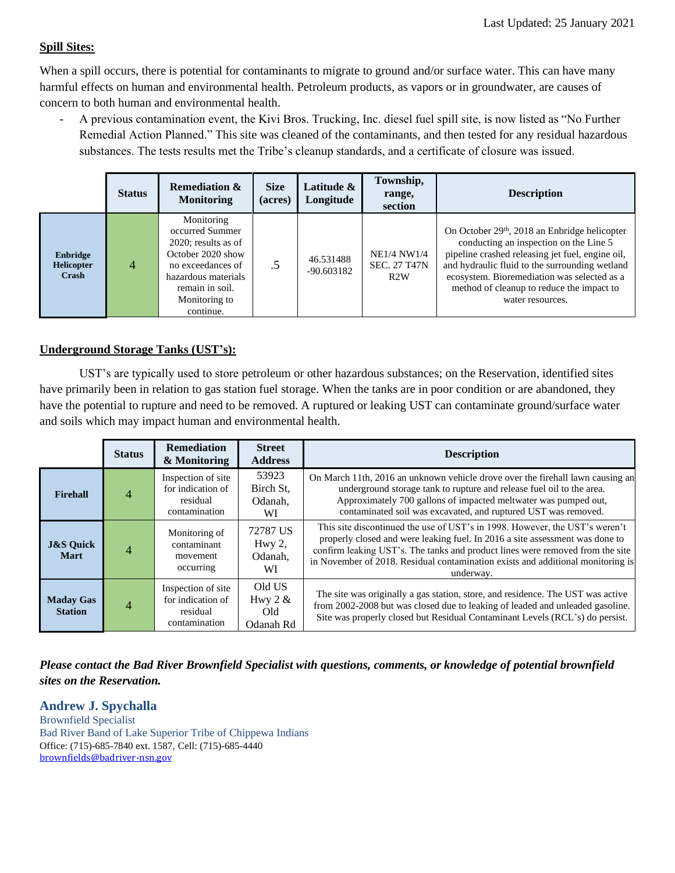### **Spill Sites:**

When a spill occurs, there is potential for contaminants to migrate to ground and/or surface water. This can have many harmful effects on human and environmental health. Petroleum products, as vapors or in groundwater, are causes of concern to both human and environmental health.

- A previous contamination event, the Kivi Bros. Trucking, Inc. diesel fuel spill site, is now listed as "No Further Remedial Action Planned." This site was cleaned of the contaminants, and then tested for any residual hazardous substances. The tests results met the Tribe's cleanup standards, and a certificate of closure was issued.

|                                        | <b>Status</b>  | <b>Remediation &amp;</b><br><b>Monitoring</b>                                                                                                                             | <b>Size</b><br>(acres) | Latitude &<br>Longitude   | Township,<br>range,<br>section                   | <b>Description</b>                                                                                                                                                                                                                                                                                                        |
|----------------------------------------|----------------|---------------------------------------------------------------------------------------------------------------------------------------------------------------------------|------------------------|---------------------------|--------------------------------------------------|---------------------------------------------------------------------------------------------------------------------------------------------------------------------------------------------------------------------------------------------------------------------------------------------------------------------------|
| Enbridge<br><b>Helicopter</b><br>Crash | $\overline{4}$ | Monitoring<br>occurred Summer<br>$2020$ ; results as of<br>October 2020 show<br>no exceedances of<br>hazardous materials<br>remain in soil.<br>Monitoring to<br>continue. |                        | 46.531488<br>$-90.603182$ | <b>NE1/4 NW1/4</b><br><b>SEC. 27 T47N</b><br>R2W | On October 29 <sup>th</sup> , 2018 an Enbridge helicopter<br>conducting an inspection on the Line 5<br>pipeline crashed releasing jet fuel, engine oil,<br>and hydraulic fluid to the surrounding wetland<br>ecosystem. Bioremediation was selected as a<br>method of cleanup to reduce the impact to<br>water resources. |

## **Underground Storage Tanks (UST's):**

UST's are typically used to store petroleum or other hazardous substances; on the Reservation, identified sites have primarily been in relation to gas station fuel storage. When the tanks are in poor condition or are abandoned, they have the potential to rupture and need to be removed. A ruptured or leaking UST can contaminate ground/surface water and soils which may impact human and environmental health.

|                                     | <b>Status</b> | <b>Remediation</b><br>& Monitoring                                   | <b>Street</b><br><b>Address</b>         | <b>Description</b>                                                                                                                                                                                                                                                                                                                           |
|-------------------------------------|---------------|----------------------------------------------------------------------|-----------------------------------------|----------------------------------------------------------------------------------------------------------------------------------------------------------------------------------------------------------------------------------------------------------------------------------------------------------------------------------------------|
| Firehall                            |               | Inspection of site<br>for indication of<br>residual<br>contamination | 53923<br>Birch St.<br>Odanah.<br>WI     | On March 11th, 2016 an unknown vehicle drove over the firehall lawn causing an<br>underground storage tank to rupture and release fuel oil to the area.<br>Approximately 700 gallons of impacted meltwater was pumped out,<br>contaminated soil was excavated, and ruptured UST was removed.                                                 |
| <b>J&amp;S Quick</b><br><b>Mart</b> |               | Monitoring of<br>contaminant<br>movement<br>occurring                | 72787 US<br>Hwy $2$ ,<br>Odanah,<br>WI  | This site discontinued the use of UST's in 1998. However, the UST's weren't<br>properly closed and were leaking fuel. In 2016 a site assessment was done to<br>confirm leaking UST's. The tanks and product lines were removed from the site<br>in November of 2018. Residual contamination exists and additional monitoring is<br>underway. |
| <b>Maday Gas</b><br><b>Station</b>  |               | Inspection of site<br>for indication of<br>residual<br>contamination | Old US<br>Hwy $2 &$<br>Old<br>Odanah Rd | The site was originally a gas station, store, and residence. The UST was active<br>from 2002-2008 but was closed due to leaking of leaded and unleaded gasoline.<br>Site was properly closed but Residual Contaminant Levels (RCL's) do persist.                                                                                             |

*Please contact the Bad River Brownfield Specialist with questions, comments, or knowledge of potential brownfield sites on the Reservation.* 

#### **Andrew J. Spychalla**

Brownfield Specialist Bad River Band of Lake Superior Tribe of Chippewa Indians Office: (715)-685-7840 ext. 1587, Cell: (715)-685-4440 [brownfields@badriver-nsn.gov](mailto:Air1@badriver-nsn.gov)